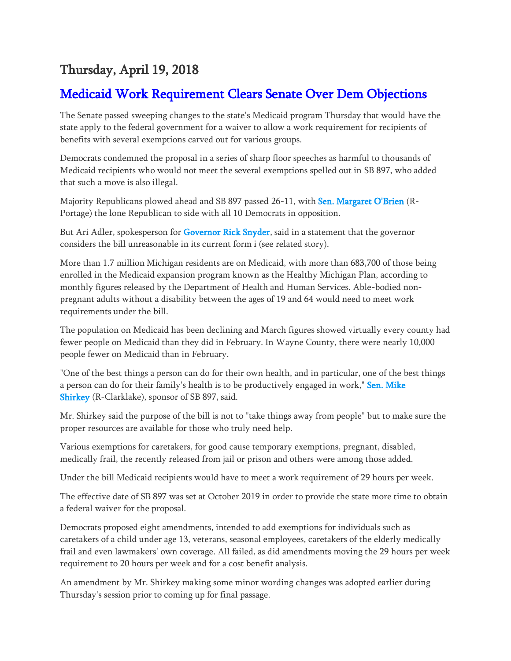## Thursday, April 19, 2018

## [Medicaid Work Requirement Clears Senate Over Dem Objections](https://www.gongwer.com/programming/news.cfm?Article_ID=570770101)

The Senate passed sweeping changes to the state's Medicaid program Thursday that would have the state apply to the federal government for a waiver to allow a work requirement for recipients of benefits with several exemptions carved out for various groups.

Democrats condemned the proposal in a series of sharp floor speeches as harmful to thousands of Medicaid recipients who would not meet the several exemptions spelled out in SB 897, who added that such a move is also illegal.

Majority Republicans plowed ahead and SB 897 passed 26-11, with [Sen. Margaret O'Brien](https://www.gongwer.com/programming/bio.cfm?nameid=226701&locid=1) (R-Portage) the lone Republican to side with all 10 Democrats in opposition.

But Ari Adler, spokesperson for [Governor Rick Snyder,](https://www.gongwer.com/programming/bio.cfm?nameid=245801&locid=1) said in a statement that the governor considers the bill unreasonable in its current form i (see related story).

More than 1.7 million Michigan residents are on Medicaid, with more than 683,700 of those being enrolled in the Medicaid expansion program known as the Healthy Michigan Plan, according to monthly figures released by the Department of Health and Human Services. Able-bodied nonpregnant adults without a disability between the ages of 19 and 64 would need to meet work requirements under the bill.

The population on Medicaid has been declining and March figures showed virtually every county had fewer people on Medicaid than they did in February. In Wayne County, there were nearly 10,000 people fewer on Medicaid than in February.

"One of the best things a person can do for their own health, and in particular, one of the best things a person can do for their family's health is to be productively engaged in work," Sen. Mike [Shirkey](https://www.gongwer.com/programming/bio.cfm?nameid=277701&locid=1) (R-Clarklake), sponsor of SB 897, said.

Mr. Shirkey said the purpose of the bill is not to "take things away from people" but to make sure the proper resources are available for those who truly need help.

Various exemptions for caretakers, for good cause temporary exemptions, pregnant, disabled, medically frail, the recently released from jail or prison and others were among those added.

Under the bill Medicaid recipients would have to meet a work requirement of 29 hours per week.

The effective date of SB 897 was set at October 2019 in order to provide the state more time to obtain a federal waiver for the proposal.

Democrats proposed eight amendments, intended to add exemptions for individuals such as caretakers of a child under age 13, veterans, seasonal employees, caretakers of the elderly medically frail and even lawmakers' own coverage. All failed, as did amendments moving the 29 hours per week requirement to 20 hours per week and for a cost benefit analysis.

An amendment by Mr. Shirkey making some minor wording changes was adopted earlier during Thursday's session prior to coming up for final passage.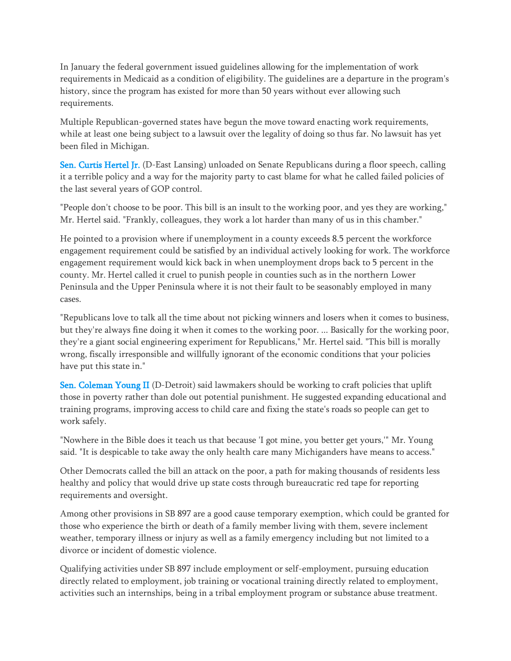In January the federal government issued guidelines allowing for the implementation of work requirements in Medicaid as a condition of eligibility. The guidelines are a departure in the program's history, since the program has existed for more than 50 years without ever allowing such requirements.

Multiple Republican-governed states have begun the move toward enacting work requirements, while at least one being subject to a lawsuit over the legality of doing so thus far. No lawsuit has yet been filed in Michigan.

[Sen. Curtis Hertel Jr.](https://www.gongwer.com/programming/bio.cfm?nameid=364301&locid=1) (D-East Lansing) unloaded on Senate Republicans during a floor speech, calling it a terrible policy and a way for the majority party to cast blame for what he called failed policies of the last several years of GOP control.

"People don't choose to be poor. This bill is an insult to the working poor, and yes they are working," Mr. Hertel said. "Frankly, colleagues, they work a lot harder than many of us in this chamber."

He pointed to a provision where if unemployment in a county exceeds 8.5 percent the workforce engagement requirement could be satisfied by an individual actively looking for work. The workforce engagement requirement would kick back in when unemployment drops back to 5 percent in the county. Mr. Hertel called it cruel to punish people in counties such as in the northern Lower Peninsula and the Upper Peninsula where it is not their fault to be seasonably employed in many cases.

"Republicans love to talk all the time about not picking winners and losers when it comes to business, but they're always fine doing it when it comes to the working poor. ... Basically for the working poor, they're a giant social engineering experiment for Republicans," Mr. Hertel said. "This bill is morally wrong, fiscally irresponsible and willfully ignorant of the economic conditions that your policies have put this state in."

[Sen. Coleman Young II](https://www.gongwer.com/programming/bio.cfm?nameid=161201&locid=1) (D-Detroit) said lawmakers should be working to craft policies that uplift those in poverty rather than dole out potential punishment. He suggested expanding educational and training programs, improving access to child care and fixing the state's roads so people can get to work safely.

"Nowhere in the Bible does it teach us that because 'I got mine, you better get yours,'" Mr. Young said. "It is despicable to take away the only health care many Michiganders have means to access."

Other Democrats called the bill an attack on the poor, a path for making thousands of residents less healthy and policy that would drive up state costs through bureaucratic red tape for reporting requirements and oversight.

Among other provisions in SB 897 are a good cause temporary exemption, which could be granted for those who experience the birth or death of a family member living with them, severe inclement weather, temporary illness or injury as well as a family emergency including but not limited to a divorce or incident of domestic violence.

Qualifying activities under SB 897 include employment or self-employment, pursuing education directly related to employment, job training or vocational training directly related to employment, activities such an internships, being in a tribal employment program or substance abuse treatment.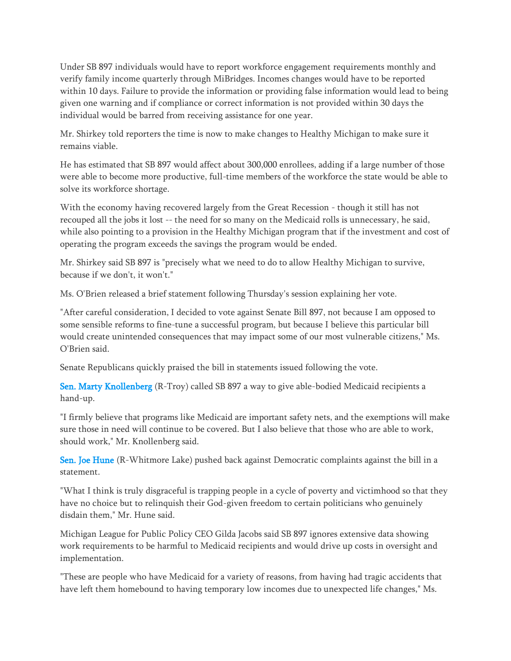Under SB 897 individuals would have to report workforce engagement requirements monthly and verify family income quarterly through MiBridges. Incomes changes would have to be reported within 10 days. Failure to provide the information or providing false information would lead to being given one warning and if compliance or correct information is not provided within 30 days the individual would be barred from receiving assistance for one year.

Mr. Shirkey told reporters the time is now to make changes to Healthy Michigan to make sure it remains viable.

He has estimated that SB 897 would affect about 300,000 enrollees, adding if a large number of those were able to become more productive, full-time members of the workforce the state would be able to solve its workforce shortage.

With the economy having recovered largely from the Great Recession - though it still has not recouped all the jobs it lost -- the need for so many on the Medicaid rolls is unnecessary, he said, while also pointing to a provision in the Healthy Michigan program that if the investment and cost of operating the program exceeds the savings the program would be ended.

Mr. Shirkey said SB 897 is "precisely what we need to do to allow Healthy Michigan to survive, because if we don't, it won't."

Ms. O'Brien released a brief statement following Thursday's session explaining her vote.

"After careful consideration, I decided to vote against Senate Bill 897, not because I am opposed to some sensible reforms to fine-tune a successful program, but because I believe this particular bill would create unintended consequences that may impact some of our most vulnerable citizens," Ms. O'Brien said.

Senate Republicans quickly praised the bill in statements issued following the vote.

[Sen. Marty Knollenberg](https://www.gongwer.com/programming/bio.cfm?nameid=80001&locid=1) (R-Troy) called SB 897 a way to give able-bodied Medicaid recipients a hand-up.

"I firmly believe that programs like Medicaid are important safety nets, and the exemptions will make sure those in need will continue to be covered. But I also believe that those who are able to work, should work," Mr. Knollenberg said.

[Sen. Joe Hune](https://www.gongwer.com/programming/bio.cfm?nameid=52901&locid=1) (R-Whitmore Lake) pushed back against Democratic complaints against the bill in a statement.

"What I think is truly disgraceful is trapping people in a cycle of poverty and victimhood so that they have no choice but to relinquish their God-given freedom to certain politicians who genuinely disdain them," Mr. Hune said.

Michigan League for Public Policy CEO Gilda Jacobs said SB 897 ignores extensive data showing work requirements to be harmful to Medicaid recipients and would drive up costs in oversight and implementation.

"These are people who have Medicaid for a variety of reasons, from having had tragic accidents that have left them homebound to having temporary low incomes due to unexpected life changes," Ms.